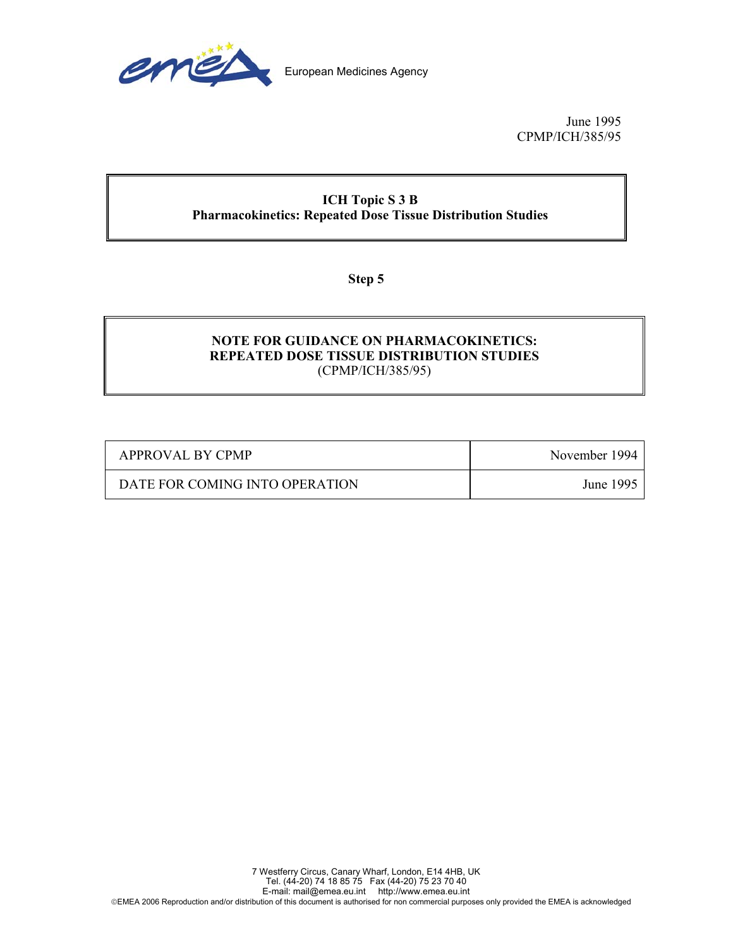

June 1995 CPMP/ICH/385/95

# **ICH Topic S 3 B Pharmacokinetics: Repeated Dose Tissue Distribution Studies**

**Step 5** 

## **NOTE FOR GUIDANCE ON PHARMACOKINETICS: REPEATED DOSE TISSUE DISTRIBUTION STUDIES**  (CPMP/ICH/385/95)

| APPROVAL BY CPMP               | November 1994 |
|--------------------------------|---------------|
| DATE FOR COMING INTO OPERATION | June 1995     |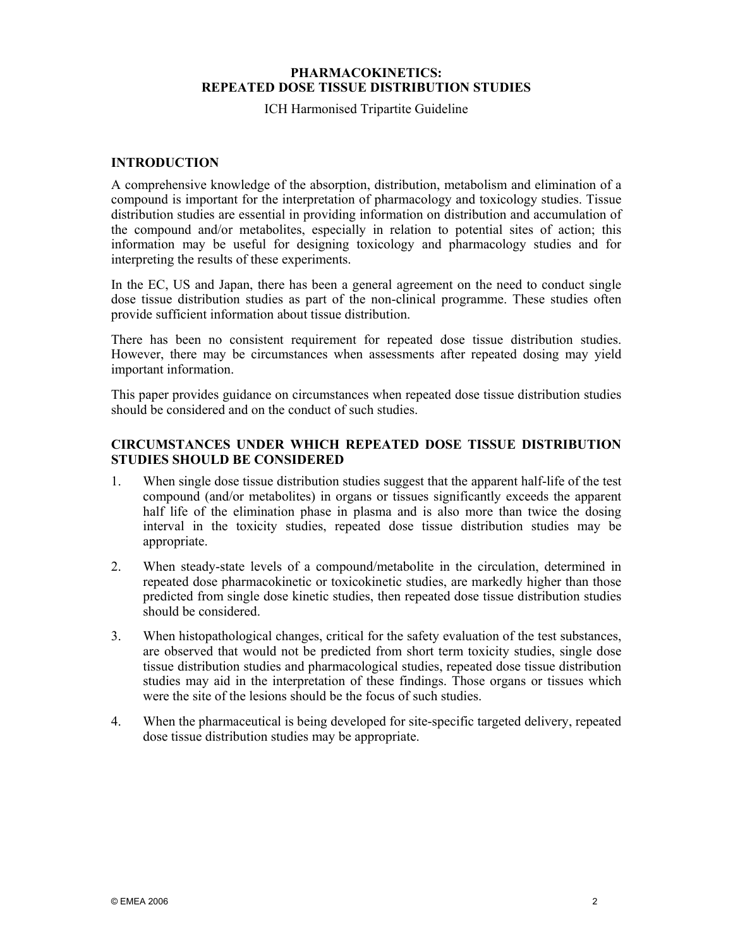#### **PHARMACOKINETICS: REPEATED DOSE TISSUE DISTRIBUTION STUDIES**

ICH Harmonised Tripartite Guideline

#### **INTRODUCTION**

A comprehensive knowledge of the absorption, distribution, metabolism and elimination of a compound is important for the interpretation of pharmacology and toxicology studies. Tissue distribution studies are essential in providing information on distribution and accumulation of the compound and/or metabolites, especially in relation to potential sites of action; this information may be useful for designing toxicology and pharmacology studies and for interpreting the results of these experiments.

In the EC, US and Japan, there has been a general agreement on the need to conduct single dose tissue distribution studies as part of the non-clinical programme. These studies often provide sufficient information about tissue distribution.

There has been no consistent requirement for repeated dose tissue distribution studies. However, there may be circumstances when assessments after repeated dosing may yield important information.

This paper provides guidance on circumstances when repeated dose tissue distribution studies should be considered and on the conduct of such studies

### **CIRCUMSTANCES UNDER WHICH REPEATED DOSE TISSUE DISTRIBUTION STUDIES SHOULD BE CONSIDERED**

- 1. When single dose tissue distribution studies suggest that the apparent half-life of the test compound (and/or metabolites) in organs or tissues significantly exceeds the apparent half life of the elimination phase in plasma and is also more than twice the dosing interval in the toxicity studies, repeated dose tissue distribution studies may be appropriate.
- 2. When steady-state levels of a compound/metabolite in the circulation, determined in repeated dose pharmacokinetic or toxicokinetic studies, are markedly higher than those predicted from single dose kinetic studies, then repeated dose tissue distribution studies should be considered.
- 3. When histopathological changes, critical for the safety evaluation of the test substances, are observed that would not be predicted from short term toxicity studies, single dose tissue distribution studies and pharmacological studies, repeated dose tissue distribution studies may aid in the interpretation of these findings. Those organs or tissues which were the site of the lesions should be the focus of such studies.
- 4. When the pharmaceutical is being developed for site-specific targeted delivery, repeated dose tissue distribution studies may be appropriate.